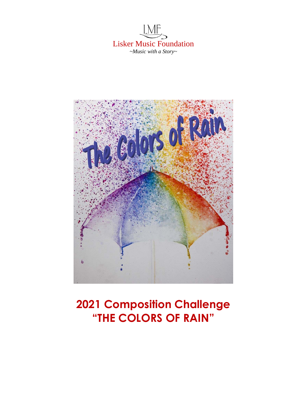



# **2021 Composition Challenge "THE COLORS OF RAIN"**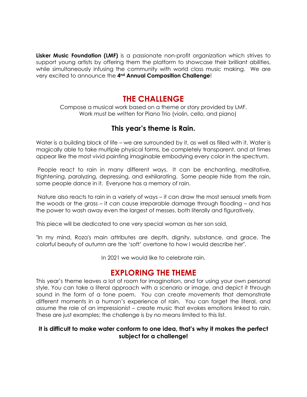**Lisker Music Foundation (LMF)** is a passionate non-profit organization which strives to support young artists by offering them the platform to showcase their brilliant abilities, while simultaneously infusing the community with world class music making. We are very excited to announce the **4nd Annual Composition Challenge**!

### **THE CHALLENGE**

Compose a musical work based on a theme or story provided by LMF. Work must be written for Piano Trio (violin, cello, and piano)

### **This year's theme is Rain.**

Water is a building block of life – we are surrounded by it, as well as filled with it. Water is magically able to take multiple physical forms, be completely transparent, and at times appear like the most vivid painting imaginable embodying every color in the spectrum.

People react to rain in many different ways. It can be enchanting, meditative, frightening, paralyzing, depressing, and exhilarating. Some people hide from the rain, some people dance in it. Everyone has a memory of rain.

Nature also reacts to rain in a variety of ways – it can draw the most sensual smells from the woods or the grass – it can cause irreparable damage through flooding – and has the power to wash away even the largest of messes, both literally and figuratively.

This piece will be dedicated to one very special woman as her son said,

"In my mind, Roza's main attributes are depth, dignity, substance, and grace. The colorful beauty of autumn are the 'soft' overtone to how I would describe her".

In 2021 we would like to celebrate rain.

## **EXPLORING THE THEME**

This year's theme leaves a lot of room for imagination, and for using your own personal style. You can take a literal approach with a scenario or image, and depict it through sound in the form of a tone poem. You can create movements that demonstrate different moments in a human's experience of rain. You can forget the literal, and assume the role of an impressionist – create music that evokes emotions linked to rain. These are just examples; the challenge is by no means limited to this list.

#### **It is difficult to make water conform to one idea, that's why it makes the perfect subject for a challenge!**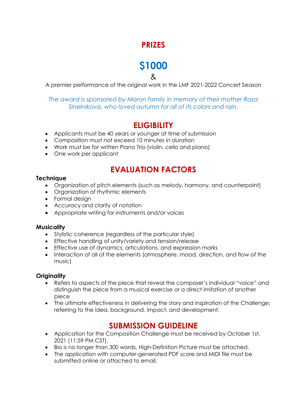## **PRIZES**

# **\$1000**

&

A premier performance of the original work in the LMF 2021-2022 Concert Season

*The award is sponsored by Maron family in memory of their mother Roza Sinelnikova, who loved autumn for all of its colors and rain.*

## **ELIGIBILITY**

- Applicants must be 40 years or younger at time of submission
- Composition must not exceed 10 minutes in duration
- Work must be for written Piano Trio (violin, cello and piano)
- One work per applicant

## **EVALUATION FACTORS**

#### **Technique**

- Organization of pitch elements (such as melody, harmony, and counterpoint)
- Organization of rhythmic elements
- Formal design
- Accuracy and clarity of notation
- Appropriate writing for instruments and/or voices

#### **Musicality**

- Stylistic coherence (regardless of the particular style)
- Effective handling of unity/variety and tension/release
- Effective use of dynamics, articulations, and expression marks
- Interaction of all of the elements (atmosphere, mood, direction, and flow of the music)

#### **Originality**

- Refers to aspects of the piece that reveal the composer's individual "voice" and distinguish the piece from a musical exercise or a direct imitation of another piece
- The ultimate effectiveness in delivering the story and inspiration of the Challenge; referring to the idea, background, impact, and development.

## **SUBMISSION GUIDELINE**

- Application for the Composition Challenge must be received by October 1st, 2021 (11:59 PM CST).
- Bio is no longer than 300 words. High-Definition Picture must be attached.
- The application with computer-generated PDF score and MIDI file must be submitted online or attached to email.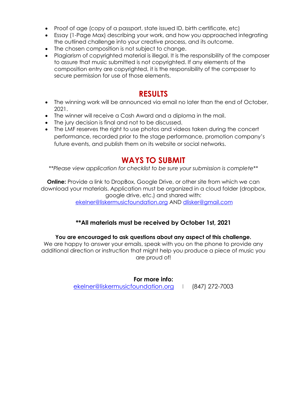- Proof of age (copy of a passport, state issued ID, birth certificate, etc)
- Essay (1-Page Max) describing your work, and how you approached integrating the outlined challenge into your creative process, and its outcome.
- The chosen composition is not subject to change.
- Plagiarism of copyrighted material is illegal. It is the responsibility of the composer to assure that music submitted is not copyrighted. If any elements of the composition entry are copyrighted, it is the responsibility of the composer to secure permission for use of those elements.

### **RESULTS**

- The winning work will be announced via email no later than the end of October, 2021.
- The winner will receive a Cash Award and a diploma in the mail.
- The jury decision is final and not to be discussed.
- The LMF reserves the right to use photos and videos taken during the concert performance, recorded prior to the stage performance, promotion company's future events, and publish them on its website or social networks.

### **WAYS TO SUBMIT**

*\*\*Please view application for checklist to be sure your submission is complete\*\**

**Online:** Provide a link to DropBox, Google Drive, or other site from which we can download your materials. Application must be organized in a cloud folder (dropbox, google drive, etc.) and shared with: [ekelner@liskermusicfoundation.org](mailto:ekelner@liskermusicfoundation.org) AND [dlisker@gmail.com](mailto:dlisker@gmail.com)

#### **\*\*All materials must be received by October 1st, 2021**

#### **You are encouraged to ask questions about any aspect of this challenge.**

We are happy to answer your emails, speak with you on the phone to provide any additional direction or instruction that might help you produce a piece of music you are proud of!

#### **For more info:**

[ekelner@liskermusicfoundation.org](mailto:ekelner@liskermusicfoundation.org) | (847) 272-7003